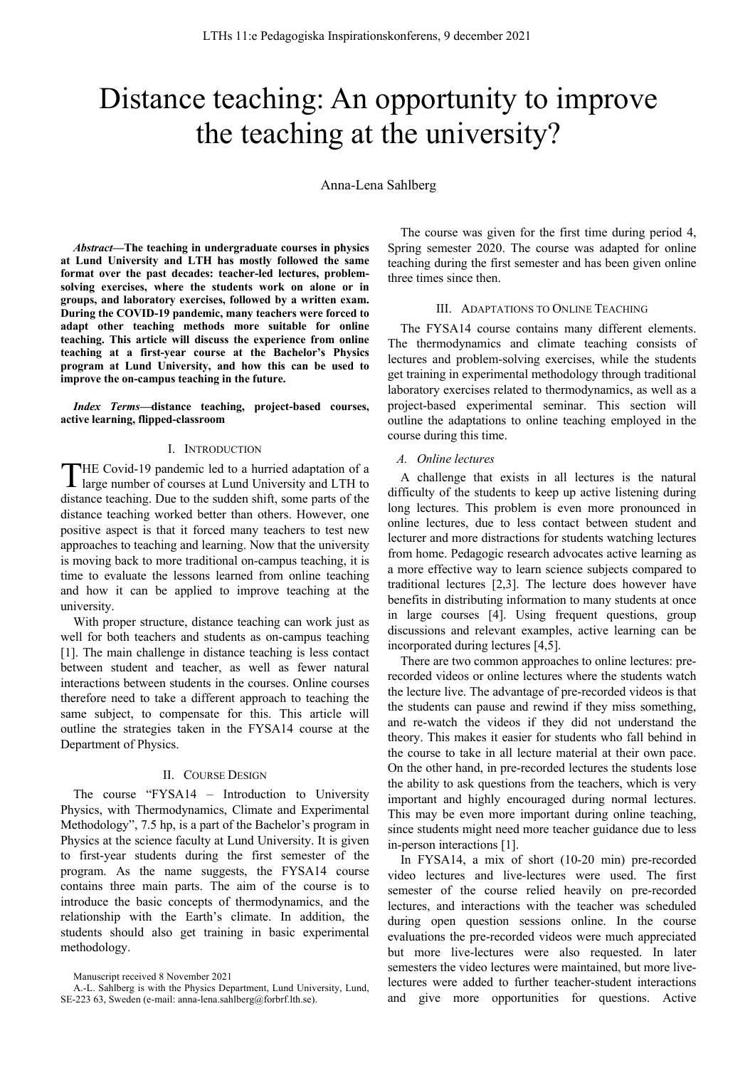# Distance teaching: An opportunity to improve the teaching at the university?

Anna-Lena Sahlberg

*Abstract***—The teaching in undergraduate courses in physics at Lund University and LTH has mostly followed the same format over the past decades: teacher-led lectures, problemsolving exercises, where the students work on alone or in groups, and laboratory exercises, followed by a written exam. During the COVID-19 pandemic, many teachers were forced to adapt other teaching methods more suitable for online teaching. This article will discuss the experience from online teaching at a first-year course at the Bachelor's Physics program at Lund University, and how this can be used to improve the on-campus teaching in the future.**

*Index Terms***—distance teaching, project-based courses, active learning, flipped-classroom** 

## I. INTRODUCTION

HE Covid-19 pandemic led to a hurried adaptation of a THE Covid-19 pandemic led to a hurried adaptation of a large number of courses at Lund University and LTH to distance teaching. Due to the sudden shift, some parts of the distance teaching worked better than others. However, one positive aspect is that it forced many teachers to test new approaches to teaching and learning. Now that the university is moving back to more traditional on-campus teaching, it is time to evaluate the lessons learned from online teaching and how it can be applied to improve teaching at the university.

With proper structure, distance teaching can work just as well for both teachers and students as on-campus teaching [1]. The main challenge in distance teaching is less contact between student and teacher, as well as fewer natural interactions between students in the courses. Online courses therefore need to take a different approach to teaching the same subject, to compensate for this. This article will outline the strategies taken in the FYSA14 course at the Department of Physics.

#### II. COURSE DESIGN

The course "FYSA14 – Introduction to University Physics, with Thermodynamics, Climate and Experimental Methodology", 7.5 hp, is a part of the Bachelor's program in Physics at the science faculty at Lund University. It is given to first-year students during the first semester of the program. As the name suggests, the FYSA14 course contains three main parts. The aim of the course is to introduce the basic concepts of thermodynamics, and the relationship with the Earth's climate. In addition, the students should also get training in basic experimental methodology.

Manuscript received 8 November 2021

The course was given for the first time during period 4, Spring semester 2020. The course was adapted for online teaching during the first semester and has been given online three times since then.

#### III. ADAPTATIONS TO ONLINE TEACHING

The FYSA14 course contains many different elements. The thermodynamics and climate teaching consists of lectures and problem-solving exercises, while the students get training in experimental methodology through traditional laboratory exercises related to thermodynamics, as well as a project-based experimental seminar. This section will outline the adaptations to online teaching employed in the course during this time.

## *A. Online lectures*

A challenge that exists in all lectures is the natural difficulty of the students to keep up active listening during long lectures. This problem is even more pronounced in online lectures, due to less contact between student and lecturer and more distractions for students watching lectures from home. Pedagogic research advocates active learning as a more effective way to learn science subjects compared to traditional lectures [2,3]. The lecture does however have benefits in distributing information to many students at once in large courses [4]. Using frequent questions, group discussions and relevant examples, active learning can be incorporated during lectures [4,5].

There are two common approaches to online lectures: prerecorded videos or online lectures where the students watch the lecture live. The advantage of pre-recorded videos is that the students can pause and rewind if they miss something, and re-watch the videos if they did not understand the theory. This makes it easier for students who fall behind in the course to take in all lecture material at their own pace. On the other hand, in pre-recorded lectures the students lose the ability to ask questions from the teachers, which is very important and highly encouraged during normal lectures. This may be even more important during online teaching, since students might need more teacher guidance due to less in-person interactions [1].

In FYSA14, a mix of short (10-20 min) pre-recorded video lectures and live-lectures were used. The first semester of the course relied heavily on pre-recorded lectures, and interactions with the teacher was scheduled during open question sessions online. In the course evaluations the pre-recorded videos were much appreciated but more live-lectures were also requested. In later semesters the video lectures were maintained, but more livelectures were added to further teacher-student interactions and give more opportunities for questions. Active

A.-L. Sahlberg is with the Physics Department, Lund University, Lund, SE-223 63, Sweden (e-mail: anna-lena.sahlberg@forbrf.lth.se).